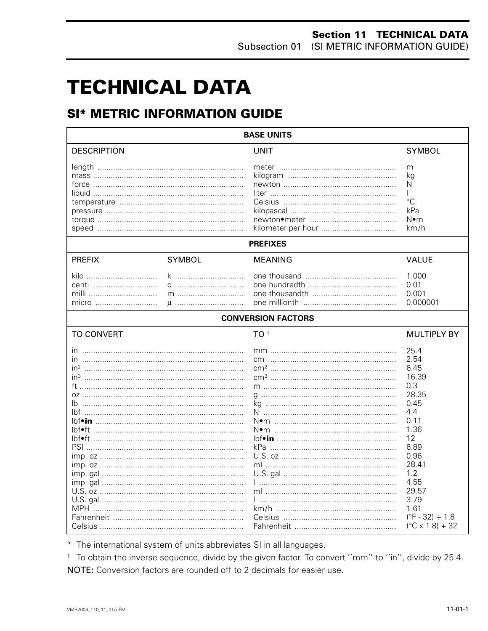# **TECHNICAL DATA**

# **SI\* METRIC INFORMATION GUIDE**

| <b>BASE UNITS</b>                                                                         |               |                           |                                                                                                                                                                                                                     |  |
|-------------------------------------------------------------------------------------------|---------------|---------------------------|---------------------------------------------------------------------------------------------------------------------------------------------------------------------------------------------------------------------|--|
| <b>DESCRIPTION</b>                                                                        |               | <b>UNIT</b>               | <b>SYMBOL</b>                                                                                                                                                                                                       |  |
|                                                                                           |               |                           | m<br>kg<br>N<br>°C<br>kPa<br>N∙m<br>km/h                                                                                                                                                                            |  |
|                                                                                           |               | <b>PREFIXES</b>           |                                                                                                                                                                                                                     |  |
| <b>PREFIX</b>                                                                             | <b>SYMBOL</b> | <b>MEANING</b>            | <b>VALUE</b>                                                                                                                                                                                                        |  |
| kilo<br>centi<br>milli<br>micro                                                           | k<br>$m$<br>u |                           | 1 0 0 0<br>0.01<br>0.001<br>0.000001                                                                                                                                                                                |  |
|                                                                                           |               | <b>CONVERSION FACTORS</b> |                                                                                                                                                                                                                     |  |
| <b>TO CONVERT</b>                                                                         |               | TO <sup>t</sup>           | <b>MULTIPLY BY</b>                                                                                                                                                                                                  |  |
| ın<br>in <sup>3</sup><br>lbf•ft ……………………………………………………………<br>lbf•ft …………………………………………………………… |               | m                         | 25.4<br>2.54<br>6.45<br>16.39<br>0.3<br>28.35<br>0.45<br>4.4<br>0.11<br>1.36<br>12<br>6.89<br>0.96<br>28.41<br>1.2<br>4.55<br>29.57<br>3.79<br>1.61<br>$(^{\circ}F - 32) \div 1.8$<br>$(^{\circ}C \times 1.8) + 32$ |  |

\* The international system of units abbreviates SI in all languages.

<sup>+</sup> To obtain the inverse sequence, divide by the given factor. To convert "mm" to "in", divide by 25.4. NOTE: Conversion factors are rounded off to 2 decimals for easier use.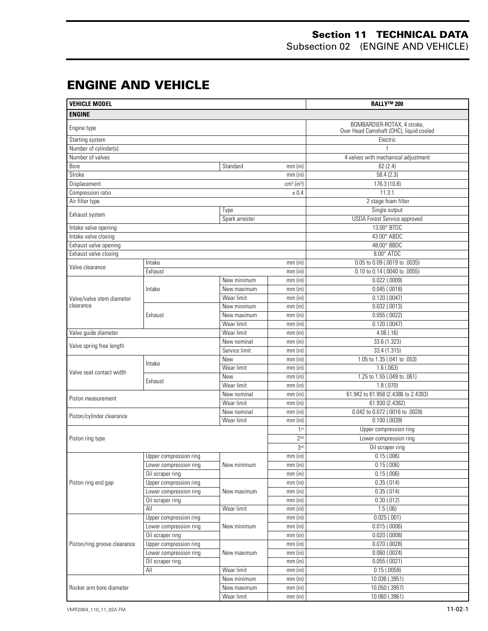#### **Section 11 TECHNICAL DATA** Subsection 02 (ENGINE AND VEHICLE)

## **ENGINE AND VEHICLE**

| <b>ENGINE</b><br>BOMBARDIER-ROTAX, 4 stroke,<br>Engine type<br>Over Head Camshaft (OHC), liquid cooled<br>Electric<br>Starting system<br>Number of cylinder(s)<br>Number of valves<br>4 valves with mechanical adjustment<br>Bore<br>62(2.4)<br>Standard<br>$mm$ (in)<br>Stroke<br>58.4(2.3)<br>mm(in)<br>Displacement<br>176.3 (10.8)<br>$cm3$ (in <sup>3</sup> )<br>11.3:1<br>Compression ratio<br>± 0.4<br>Air filter type<br>2 stage foam filter<br>Single output<br>Type<br>Exhaust system<br><b>USDA Forest Service approved</b><br>Spark arrester<br>13.00° BTDC<br>Intake valve opening<br>Intake valve closing<br>43.00° ABDC<br>48.00° BBDC<br>Exhaust valve opening<br>8.00° ATDC<br>Exhaust valve closing<br>0.05 to 0.09 (.0019 to .0035)<br>Intake<br>$mm$ (in)<br>Valve clearance<br>Exhaust<br>0.10 to 0.14 (.0040 to .0055)<br>$mm$ (in)<br>New minimum<br>$0.022$ (.0009)<br>$mm$ (in)<br>Intake<br>mm(in)<br>0.045(.0018)<br>New maximum<br>$0.120$ (.0047)<br>Wear limit<br>mm(in)<br>Valve/valve stem diameter<br>clearance<br>$0.032$ (.0013)<br>New minimum<br>mm(in)<br>$0.055$ (.0022)<br>Exhaust<br>New maximum<br>$mm$ (in)<br>Wear limit<br>0.120(0.0047)<br>mm(in)<br>Valve guide diameter<br>Wear limit<br>$mm$ (in)<br>4.06(.16)<br>33.6 (1.323)<br>New nominal<br>mm(in)<br>Valve spring free length<br>33.4 (1.315)<br>Service limit<br>mm(in)<br>1.05 to 1.35 (.041 to .053)<br>$mm$ (in)<br>New<br>Intake<br>$mm$ (in)<br>1.6(0.063)<br>Wear limit<br>Valve seat contact width<br>1.25 to 1.55 (.049 to .061)<br><b>New</b><br>mm(in)<br>Exhaust<br>Wear limit<br>$mm$ (in)<br>1.8(0.070)<br>61.942 to 61.958 (2.4386 to 2.4393)<br>New nominal<br>mm(in)<br>Piston measurement<br>61.930 (2.4382)<br>Wear limit<br>mm(in)<br>0.042 to 0.072 (.0016 to .0028)<br>New nominal<br>mm(in)<br>Piston/cylinder clearance<br>Wear limit<br>$0.100$ (.0039)<br>$mm$ (in)<br>1 <sup>st</sup><br>Upper compression ring<br>Lower compression ring<br>2 <sup>nd</sup><br>Piston ring type<br>3 <sup>rd</sup><br>Oil scraper ring<br>Upper compression ring<br>mm(in)<br>0.15(.006)<br>0.15(.006)<br>Lower compression ring<br>mm(in)<br>New minimum<br>Oil scraper ring<br>0.15(.006)<br>mm(in)<br>Upper compression ring<br>0.35(.014)<br>Piston ring end gap<br>mm(in)<br>Lower compression ring<br>0.35(.014)<br>mm(in)<br>New maximum<br>Oil scraper ring<br>mm(in)<br>$0.30$ $(.012)$<br>All<br>Wear limit<br>mm(in)<br>1.5(.06)<br>0.025(.001)<br>Upper compression ring<br>mm(in)<br>$0.015$ (.0006)<br>Lower compression ring<br>New minimum<br>mm(in)<br>0.020(.0008)<br>Oil scraper ring<br>mm(in)<br>Upper compression ring<br>$0.070$ (.0028)<br>Piston/ring groove clearance<br>mm(in)<br>Lower compression ring<br>$mm$ (in)<br>$0.060$ $(.0024)$<br>New maximum<br>Oil scraper ring<br>mm(in)<br>0.055(.0021)<br>All<br>Wear limit<br>0.15(0.0059)<br>mm(in)<br>10.036 (.3951)<br>New minimum<br>mm(in)<br>10.050 (.3957)<br>Rocker arm bore diameter<br>New maximum<br>$mm$ (in) | <b>VEHICLE MODEL</b> |  | <b>RALLY™ 200</b> |           |                |
|---------------------------------------------------------------------------------------------------------------------------------------------------------------------------------------------------------------------------------------------------------------------------------------------------------------------------------------------------------------------------------------------------------------------------------------------------------------------------------------------------------------------------------------------------------------------------------------------------------------------------------------------------------------------------------------------------------------------------------------------------------------------------------------------------------------------------------------------------------------------------------------------------------------------------------------------------------------------------------------------------------------------------------------------------------------------------------------------------------------------------------------------------------------------------------------------------------------------------------------------------------------------------------------------------------------------------------------------------------------------------------------------------------------------------------------------------------------------------------------------------------------------------------------------------------------------------------------------------------------------------------------------------------------------------------------------------------------------------------------------------------------------------------------------------------------------------------------------------------------------------------------------------------------------------------------------------------------------------------------------------------------------------------------------------------------------------------------------------------------------------------------------------------------------------------------------------------------------------------------------------------------------------------------------------------------------------------------------------------------------------------------------------------------------------------------------------------------------------------------------------------------------------------------------------------------------------------------------------------------------------------------------------------------------------------------------------------------------------------------------------------------------------------------------------------------------------------------------------------------------------------------------------------------------------------------------------------------------------------------------------------------------------|----------------------|--|-------------------|-----------|----------------|
|                                                                                                                                                                                                                                                                                                                                                                                                                                                                                                                                                                                                                                                                                                                                                                                                                                                                                                                                                                                                                                                                                                                                                                                                                                                                                                                                                                                                                                                                                                                                                                                                                                                                                                                                                                                                                                                                                                                                                                                                                                                                                                                                                                                                                                                                                                                                                                                                                                                                                                                                                                                                                                                                                                                                                                                                                                                                                                                                                                                                                           |                      |  |                   |           |                |
|                                                                                                                                                                                                                                                                                                                                                                                                                                                                                                                                                                                                                                                                                                                                                                                                                                                                                                                                                                                                                                                                                                                                                                                                                                                                                                                                                                                                                                                                                                                                                                                                                                                                                                                                                                                                                                                                                                                                                                                                                                                                                                                                                                                                                                                                                                                                                                                                                                                                                                                                                                                                                                                                                                                                                                                                                                                                                                                                                                                                                           |                      |  |                   |           |                |
|                                                                                                                                                                                                                                                                                                                                                                                                                                                                                                                                                                                                                                                                                                                                                                                                                                                                                                                                                                                                                                                                                                                                                                                                                                                                                                                                                                                                                                                                                                                                                                                                                                                                                                                                                                                                                                                                                                                                                                                                                                                                                                                                                                                                                                                                                                                                                                                                                                                                                                                                                                                                                                                                                                                                                                                                                                                                                                                                                                                                                           |                      |  |                   |           |                |
|                                                                                                                                                                                                                                                                                                                                                                                                                                                                                                                                                                                                                                                                                                                                                                                                                                                                                                                                                                                                                                                                                                                                                                                                                                                                                                                                                                                                                                                                                                                                                                                                                                                                                                                                                                                                                                                                                                                                                                                                                                                                                                                                                                                                                                                                                                                                                                                                                                                                                                                                                                                                                                                                                                                                                                                                                                                                                                                                                                                                                           |                      |  |                   |           |                |
|                                                                                                                                                                                                                                                                                                                                                                                                                                                                                                                                                                                                                                                                                                                                                                                                                                                                                                                                                                                                                                                                                                                                                                                                                                                                                                                                                                                                                                                                                                                                                                                                                                                                                                                                                                                                                                                                                                                                                                                                                                                                                                                                                                                                                                                                                                                                                                                                                                                                                                                                                                                                                                                                                                                                                                                                                                                                                                                                                                                                                           |                      |  |                   |           |                |
|                                                                                                                                                                                                                                                                                                                                                                                                                                                                                                                                                                                                                                                                                                                                                                                                                                                                                                                                                                                                                                                                                                                                                                                                                                                                                                                                                                                                                                                                                                                                                                                                                                                                                                                                                                                                                                                                                                                                                                                                                                                                                                                                                                                                                                                                                                                                                                                                                                                                                                                                                                                                                                                                                                                                                                                                                                                                                                                                                                                                                           |                      |  |                   |           |                |
|                                                                                                                                                                                                                                                                                                                                                                                                                                                                                                                                                                                                                                                                                                                                                                                                                                                                                                                                                                                                                                                                                                                                                                                                                                                                                                                                                                                                                                                                                                                                                                                                                                                                                                                                                                                                                                                                                                                                                                                                                                                                                                                                                                                                                                                                                                                                                                                                                                                                                                                                                                                                                                                                                                                                                                                                                                                                                                                                                                                                                           |                      |  |                   |           |                |
|                                                                                                                                                                                                                                                                                                                                                                                                                                                                                                                                                                                                                                                                                                                                                                                                                                                                                                                                                                                                                                                                                                                                                                                                                                                                                                                                                                                                                                                                                                                                                                                                                                                                                                                                                                                                                                                                                                                                                                                                                                                                                                                                                                                                                                                                                                                                                                                                                                                                                                                                                                                                                                                                                                                                                                                                                                                                                                                                                                                                                           |                      |  |                   |           |                |
|                                                                                                                                                                                                                                                                                                                                                                                                                                                                                                                                                                                                                                                                                                                                                                                                                                                                                                                                                                                                                                                                                                                                                                                                                                                                                                                                                                                                                                                                                                                                                                                                                                                                                                                                                                                                                                                                                                                                                                                                                                                                                                                                                                                                                                                                                                                                                                                                                                                                                                                                                                                                                                                                                                                                                                                                                                                                                                                                                                                                                           |                      |  |                   |           |                |
|                                                                                                                                                                                                                                                                                                                                                                                                                                                                                                                                                                                                                                                                                                                                                                                                                                                                                                                                                                                                                                                                                                                                                                                                                                                                                                                                                                                                                                                                                                                                                                                                                                                                                                                                                                                                                                                                                                                                                                                                                                                                                                                                                                                                                                                                                                                                                                                                                                                                                                                                                                                                                                                                                                                                                                                                                                                                                                                                                                                                                           |                      |  |                   |           |                |
|                                                                                                                                                                                                                                                                                                                                                                                                                                                                                                                                                                                                                                                                                                                                                                                                                                                                                                                                                                                                                                                                                                                                                                                                                                                                                                                                                                                                                                                                                                                                                                                                                                                                                                                                                                                                                                                                                                                                                                                                                                                                                                                                                                                                                                                                                                                                                                                                                                                                                                                                                                                                                                                                                                                                                                                                                                                                                                                                                                                                                           |                      |  |                   |           |                |
|                                                                                                                                                                                                                                                                                                                                                                                                                                                                                                                                                                                                                                                                                                                                                                                                                                                                                                                                                                                                                                                                                                                                                                                                                                                                                                                                                                                                                                                                                                                                                                                                                                                                                                                                                                                                                                                                                                                                                                                                                                                                                                                                                                                                                                                                                                                                                                                                                                                                                                                                                                                                                                                                                                                                                                                                                                                                                                                                                                                                                           |                      |  |                   |           |                |
|                                                                                                                                                                                                                                                                                                                                                                                                                                                                                                                                                                                                                                                                                                                                                                                                                                                                                                                                                                                                                                                                                                                                                                                                                                                                                                                                                                                                                                                                                                                                                                                                                                                                                                                                                                                                                                                                                                                                                                                                                                                                                                                                                                                                                                                                                                                                                                                                                                                                                                                                                                                                                                                                                                                                                                                                                                                                                                                                                                                                                           |                      |  |                   |           |                |
|                                                                                                                                                                                                                                                                                                                                                                                                                                                                                                                                                                                                                                                                                                                                                                                                                                                                                                                                                                                                                                                                                                                                                                                                                                                                                                                                                                                                                                                                                                                                                                                                                                                                                                                                                                                                                                                                                                                                                                                                                                                                                                                                                                                                                                                                                                                                                                                                                                                                                                                                                                                                                                                                                                                                                                                                                                                                                                                                                                                                                           |                      |  |                   |           |                |
|                                                                                                                                                                                                                                                                                                                                                                                                                                                                                                                                                                                                                                                                                                                                                                                                                                                                                                                                                                                                                                                                                                                                                                                                                                                                                                                                                                                                                                                                                                                                                                                                                                                                                                                                                                                                                                                                                                                                                                                                                                                                                                                                                                                                                                                                                                                                                                                                                                                                                                                                                                                                                                                                                                                                                                                                                                                                                                                                                                                                                           |                      |  |                   |           |                |
|                                                                                                                                                                                                                                                                                                                                                                                                                                                                                                                                                                                                                                                                                                                                                                                                                                                                                                                                                                                                                                                                                                                                                                                                                                                                                                                                                                                                                                                                                                                                                                                                                                                                                                                                                                                                                                                                                                                                                                                                                                                                                                                                                                                                                                                                                                                                                                                                                                                                                                                                                                                                                                                                                                                                                                                                                                                                                                                                                                                                                           |                      |  |                   |           |                |
|                                                                                                                                                                                                                                                                                                                                                                                                                                                                                                                                                                                                                                                                                                                                                                                                                                                                                                                                                                                                                                                                                                                                                                                                                                                                                                                                                                                                                                                                                                                                                                                                                                                                                                                                                                                                                                                                                                                                                                                                                                                                                                                                                                                                                                                                                                                                                                                                                                                                                                                                                                                                                                                                                                                                                                                                                                                                                                                                                                                                                           |                      |  |                   |           |                |
|                                                                                                                                                                                                                                                                                                                                                                                                                                                                                                                                                                                                                                                                                                                                                                                                                                                                                                                                                                                                                                                                                                                                                                                                                                                                                                                                                                                                                                                                                                                                                                                                                                                                                                                                                                                                                                                                                                                                                                                                                                                                                                                                                                                                                                                                                                                                                                                                                                                                                                                                                                                                                                                                                                                                                                                                                                                                                                                                                                                                                           |                      |  |                   |           |                |
|                                                                                                                                                                                                                                                                                                                                                                                                                                                                                                                                                                                                                                                                                                                                                                                                                                                                                                                                                                                                                                                                                                                                                                                                                                                                                                                                                                                                                                                                                                                                                                                                                                                                                                                                                                                                                                                                                                                                                                                                                                                                                                                                                                                                                                                                                                                                                                                                                                                                                                                                                                                                                                                                                                                                                                                                                                                                                                                                                                                                                           |                      |  |                   |           |                |
|                                                                                                                                                                                                                                                                                                                                                                                                                                                                                                                                                                                                                                                                                                                                                                                                                                                                                                                                                                                                                                                                                                                                                                                                                                                                                                                                                                                                                                                                                                                                                                                                                                                                                                                                                                                                                                                                                                                                                                                                                                                                                                                                                                                                                                                                                                                                                                                                                                                                                                                                                                                                                                                                                                                                                                                                                                                                                                                                                                                                                           |                      |  |                   |           |                |
|                                                                                                                                                                                                                                                                                                                                                                                                                                                                                                                                                                                                                                                                                                                                                                                                                                                                                                                                                                                                                                                                                                                                                                                                                                                                                                                                                                                                                                                                                                                                                                                                                                                                                                                                                                                                                                                                                                                                                                                                                                                                                                                                                                                                                                                                                                                                                                                                                                                                                                                                                                                                                                                                                                                                                                                                                                                                                                                                                                                                                           |                      |  |                   |           |                |
|                                                                                                                                                                                                                                                                                                                                                                                                                                                                                                                                                                                                                                                                                                                                                                                                                                                                                                                                                                                                                                                                                                                                                                                                                                                                                                                                                                                                                                                                                                                                                                                                                                                                                                                                                                                                                                                                                                                                                                                                                                                                                                                                                                                                                                                                                                                                                                                                                                                                                                                                                                                                                                                                                                                                                                                                                                                                                                                                                                                                                           |                      |  |                   |           |                |
|                                                                                                                                                                                                                                                                                                                                                                                                                                                                                                                                                                                                                                                                                                                                                                                                                                                                                                                                                                                                                                                                                                                                                                                                                                                                                                                                                                                                                                                                                                                                                                                                                                                                                                                                                                                                                                                                                                                                                                                                                                                                                                                                                                                                                                                                                                                                                                                                                                                                                                                                                                                                                                                                                                                                                                                                                                                                                                                                                                                                                           |                      |  |                   |           |                |
|                                                                                                                                                                                                                                                                                                                                                                                                                                                                                                                                                                                                                                                                                                                                                                                                                                                                                                                                                                                                                                                                                                                                                                                                                                                                                                                                                                                                                                                                                                                                                                                                                                                                                                                                                                                                                                                                                                                                                                                                                                                                                                                                                                                                                                                                                                                                                                                                                                                                                                                                                                                                                                                                                                                                                                                                                                                                                                                                                                                                                           |                      |  |                   |           |                |
|                                                                                                                                                                                                                                                                                                                                                                                                                                                                                                                                                                                                                                                                                                                                                                                                                                                                                                                                                                                                                                                                                                                                                                                                                                                                                                                                                                                                                                                                                                                                                                                                                                                                                                                                                                                                                                                                                                                                                                                                                                                                                                                                                                                                                                                                                                                                                                                                                                                                                                                                                                                                                                                                                                                                                                                                                                                                                                                                                                                                                           |                      |  |                   |           |                |
|                                                                                                                                                                                                                                                                                                                                                                                                                                                                                                                                                                                                                                                                                                                                                                                                                                                                                                                                                                                                                                                                                                                                                                                                                                                                                                                                                                                                                                                                                                                                                                                                                                                                                                                                                                                                                                                                                                                                                                                                                                                                                                                                                                                                                                                                                                                                                                                                                                                                                                                                                                                                                                                                                                                                                                                                                                                                                                                                                                                                                           |                      |  |                   |           |                |
|                                                                                                                                                                                                                                                                                                                                                                                                                                                                                                                                                                                                                                                                                                                                                                                                                                                                                                                                                                                                                                                                                                                                                                                                                                                                                                                                                                                                                                                                                                                                                                                                                                                                                                                                                                                                                                                                                                                                                                                                                                                                                                                                                                                                                                                                                                                                                                                                                                                                                                                                                                                                                                                                                                                                                                                                                                                                                                                                                                                                                           |                      |  |                   |           |                |
|                                                                                                                                                                                                                                                                                                                                                                                                                                                                                                                                                                                                                                                                                                                                                                                                                                                                                                                                                                                                                                                                                                                                                                                                                                                                                                                                                                                                                                                                                                                                                                                                                                                                                                                                                                                                                                                                                                                                                                                                                                                                                                                                                                                                                                                                                                                                                                                                                                                                                                                                                                                                                                                                                                                                                                                                                                                                                                                                                                                                                           |                      |  |                   |           |                |
|                                                                                                                                                                                                                                                                                                                                                                                                                                                                                                                                                                                                                                                                                                                                                                                                                                                                                                                                                                                                                                                                                                                                                                                                                                                                                                                                                                                                                                                                                                                                                                                                                                                                                                                                                                                                                                                                                                                                                                                                                                                                                                                                                                                                                                                                                                                                                                                                                                                                                                                                                                                                                                                                                                                                                                                                                                                                                                                                                                                                                           |                      |  |                   |           |                |
|                                                                                                                                                                                                                                                                                                                                                                                                                                                                                                                                                                                                                                                                                                                                                                                                                                                                                                                                                                                                                                                                                                                                                                                                                                                                                                                                                                                                                                                                                                                                                                                                                                                                                                                                                                                                                                                                                                                                                                                                                                                                                                                                                                                                                                                                                                                                                                                                                                                                                                                                                                                                                                                                                                                                                                                                                                                                                                                                                                                                                           |                      |  |                   |           |                |
|                                                                                                                                                                                                                                                                                                                                                                                                                                                                                                                                                                                                                                                                                                                                                                                                                                                                                                                                                                                                                                                                                                                                                                                                                                                                                                                                                                                                                                                                                                                                                                                                                                                                                                                                                                                                                                                                                                                                                                                                                                                                                                                                                                                                                                                                                                                                                                                                                                                                                                                                                                                                                                                                                                                                                                                                                                                                                                                                                                                                                           |                      |  |                   |           |                |
|                                                                                                                                                                                                                                                                                                                                                                                                                                                                                                                                                                                                                                                                                                                                                                                                                                                                                                                                                                                                                                                                                                                                                                                                                                                                                                                                                                                                                                                                                                                                                                                                                                                                                                                                                                                                                                                                                                                                                                                                                                                                                                                                                                                                                                                                                                                                                                                                                                                                                                                                                                                                                                                                                                                                                                                                                                                                                                                                                                                                                           |                      |  |                   |           |                |
|                                                                                                                                                                                                                                                                                                                                                                                                                                                                                                                                                                                                                                                                                                                                                                                                                                                                                                                                                                                                                                                                                                                                                                                                                                                                                                                                                                                                                                                                                                                                                                                                                                                                                                                                                                                                                                                                                                                                                                                                                                                                                                                                                                                                                                                                                                                                                                                                                                                                                                                                                                                                                                                                                                                                                                                                                                                                                                                                                                                                                           |                      |  |                   |           |                |
|                                                                                                                                                                                                                                                                                                                                                                                                                                                                                                                                                                                                                                                                                                                                                                                                                                                                                                                                                                                                                                                                                                                                                                                                                                                                                                                                                                                                                                                                                                                                                                                                                                                                                                                                                                                                                                                                                                                                                                                                                                                                                                                                                                                                                                                                                                                                                                                                                                                                                                                                                                                                                                                                                                                                                                                                                                                                                                                                                                                                                           |                      |  |                   |           |                |
|                                                                                                                                                                                                                                                                                                                                                                                                                                                                                                                                                                                                                                                                                                                                                                                                                                                                                                                                                                                                                                                                                                                                                                                                                                                                                                                                                                                                                                                                                                                                                                                                                                                                                                                                                                                                                                                                                                                                                                                                                                                                                                                                                                                                                                                                                                                                                                                                                                                                                                                                                                                                                                                                                                                                                                                                                                                                                                                                                                                                                           |                      |  |                   |           |                |
|                                                                                                                                                                                                                                                                                                                                                                                                                                                                                                                                                                                                                                                                                                                                                                                                                                                                                                                                                                                                                                                                                                                                                                                                                                                                                                                                                                                                                                                                                                                                                                                                                                                                                                                                                                                                                                                                                                                                                                                                                                                                                                                                                                                                                                                                                                                                                                                                                                                                                                                                                                                                                                                                                                                                                                                                                                                                                                                                                                                                                           |                      |  |                   |           |                |
|                                                                                                                                                                                                                                                                                                                                                                                                                                                                                                                                                                                                                                                                                                                                                                                                                                                                                                                                                                                                                                                                                                                                                                                                                                                                                                                                                                                                                                                                                                                                                                                                                                                                                                                                                                                                                                                                                                                                                                                                                                                                                                                                                                                                                                                                                                                                                                                                                                                                                                                                                                                                                                                                                                                                                                                                                                                                                                                                                                                                                           |                      |  |                   |           |                |
|                                                                                                                                                                                                                                                                                                                                                                                                                                                                                                                                                                                                                                                                                                                                                                                                                                                                                                                                                                                                                                                                                                                                                                                                                                                                                                                                                                                                                                                                                                                                                                                                                                                                                                                                                                                                                                                                                                                                                                                                                                                                                                                                                                                                                                                                                                                                                                                                                                                                                                                                                                                                                                                                                                                                                                                                                                                                                                                                                                                                                           |                      |  |                   |           |                |
|                                                                                                                                                                                                                                                                                                                                                                                                                                                                                                                                                                                                                                                                                                                                                                                                                                                                                                                                                                                                                                                                                                                                                                                                                                                                                                                                                                                                                                                                                                                                                                                                                                                                                                                                                                                                                                                                                                                                                                                                                                                                                                                                                                                                                                                                                                                                                                                                                                                                                                                                                                                                                                                                                                                                                                                                                                                                                                                                                                                                                           |                      |  |                   |           |                |
|                                                                                                                                                                                                                                                                                                                                                                                                                                                                                                                                                                                                                                                                                                                                                                                                                                                                                                                                                                                                                                                                                                                                                                                                                                                                                                                                                                                                                                                                                                                                                                                                                                                                                                                                                                                                                                                                                                                                                                                                                                                                                                                                                                                                                                                                                                                                                                                                                                                                                                                                                                                                                                                                                                                                                                                                                                                                                                                                                                                                                           |                      |  |                   |           |                |
|                                                                                                                                                                                                                                                                                                                                                                                                                                                                                                                                                                                                                                                                                                                                                                                                                                                                                                                                                                                                                                                                                                                                                                                                                                                                                                                                                                                                                                                                                                                                                                                                                                                                                                                                                                                                                                                                                                                                                                                                                                                                                                                                                                                                                                                                                                                                                                                                                                                                                                                                                                                                                                                                                                                                                                                                                                                                                                                                                                                                                           |                      |  |                   |           |                |
|                                                                                                                                                                                                                                                                                                                                                                                                                                                                                                                                                                                                                                                                                                                                                                                                                                                                                                                                                                                                                                                                                                                                                                                                                                                                                                                                                                                                                                                                                                                                                                                                                                                                                                                                                                                                                                                                                                                                                                                                                                                                                                                                                                                                                                                                                                                                                                                                                                                                                                                                                                                                                                                                                                                                                                                                                                                                                                                                                                                                                           |                      |  |                   |           |                |
|                                                                                                                                                                                                                                                                                                                                                                                                                                                                                                                                                                                                                                                                                                                                                                                                                                                                                                                                                                                                                                                                                                                                                                                                                                                                                                                                                                                                                                                                                                                                                                                                                                                                                                                                                                                                                                                                                                                                                                                                                                                                                                                                                                                                                                                                                                                                                                                                                                                                                                                                                                                                                                                                                                                                                                                                                                                                                                                                                                                                                           |                      |  |                   |           |                |
|                                                                                                                                                                                                                                                                                                                                                                                                                                                                                                                                                                                                                                                                                                                                                                                                                                                                                                                                                                                                                                                                                                                                                                                                                                                                                                                                                                                                                                                                                                                                                                                                                                                                                                                                                                                                                                                                                                                                                                                                                                                                                                                                                                                                                                                                                                                                                                                                                                                                                                                                                                                                                                                                                                                                                                                                                                                                                                                                                                                                                           |                      |  |                   |           |                |
|                                                                                                                                                                                                                                                                                                                                                                                                                                                                                                                                                                                                                                                                                                                                                                                                                                                                                                                                                                                                                                                                                                                                                                                                                                                                                                                                                                                                                                                                                                                                                                                                                                                                                                                                                                                                                                                                                                                                                                                                                                                                                                                                                                                                                                                                                                                                                                                                                                                                                                                                                                                                                                                                                                                                                                                                                                                                                                                                                                                                                           |                      |  |                   |           |                |
|                                                                                                                                                                                                                                                                                                                                                                                                                                                                                                                                                                                                                                                                                                                                                                                                                                                                                                                                                                                                                                                                                                                                                                                                                                                                                                                                                                                                                                                                                                                                                                                                                                                                                                                                                                                                                                                                                                                                                                                                                                                                                                                                                                                                                                                                                                                                                                                                                                                                                                                                                                                                                                                                                                                                                                                                                                                                                                                                                                                                                           |                      |  |                   |           |                |
|                                                                                                                                                                                                                                                                                                                                                                                                                                                                                                                                                                                                                                                                                                                                                                                                                                                                                                                                                                                                                                                                                                                                                                                                                                                                                                                                                                                                                                                                                                                                                                                                                                                                                                                                                                                                                                                                                                                                                                                                                                                                                                                                                                                                                                                                                                                                                                                                                                                                                                                                                                                                                                                                                                                                                                                                                                                                                                                                                                                                                           |                      |  |                   |           |                |
|                                                                                                                                                                                                                                                                                                                                                                                                                                                                                                                                                                                                                                                                                                                                                                                                                                                                                                                                                                                                                                                                                                                                                                                                                                                                                                                                                                                                                                                                                                                                                                                                                                                                                                                                                                                                                                                                                                                                                                                                                                                                                                                                                                                                                                                                                                                                                                                                                                                                                                                                                                                                                                                                                                                                                                                                                                                                                                                                                                                                                           |                      |  |                   |           |                |
|                                                                                                                                                                                                                                                                                                                                                                                                                                                                                                                                                                                                                                                                                                                                                                                                                                                                                                                                                                                                                                                                                                                                                                                                                                                                                                                                                                                                                                                                                                                                                                                                                                                                                                                                                                                                                                                                                                                                                                                                                                                                                                                                                                                                                                                                                                                                                                                                                                                                                                                                                                                                                                                                                                                                                                                                                                                                                                                                                                                                                           |                      |  |                   |           |                |
|                                                                                                                                                                                                                                                                                                                                                                                                                                                                                                                                                                                                                                                                                                                                                                                                                                                                                                                                                                                                                                                                                                                                                                                                                                                                                                                                                                                                                                                                                                                                                                                                                                                                                                                                                                                                                                                                                                                                                                                                                                                                                                                                                                                                                                                                                                                                                                                                                                                                                                                                                                                                                                                                                                                                                                                                                                                                                                                                                                                                                           |                      |  |                   |           |                |
|                                                                                                                                                                                                                                                                                                                                                                                                                                                                                                                                                                                                                                                                                                                                                                                                                                                                                                                                                                                                                                                                                                                                                                                                                                                                                                                                                                                                                                                                                                                                                                                                                                                                                                                                                                                                                                                                                                                                                                                                                                                                                                                                                                                                                                                                                                                                                                                                                                                                                                                                                                                                                                                                                                                                                                                                                                                                                                                                                                                                                           |                      |  |                   |           |                |
|                                                                                                                                                                                                                                                                                                                                                                                                                                                                                                                                                                                                                                                                                                                                                                                                                                                                                                                                                                                                                                                                                                                                                                                                                                                                                                                                                                                                                                                                                                                                                                                                                                                                                                                                                                                                                                                                                                                                                                                                                                                                                                                                                                                                                                                                                                                                                                                                                                                                                                                                                                                                                                                                                                                                                                                                                                                                                                                                                                                                                           |                      |  |                   |           |                |
|                                                                                                                                                                                                                                                                                                                                                                                                                                                                                                                                                                                                                                                                                                                                                                                                                                                                                                                                                                                                                                                                                                                                                                                                                                                                                                                                                                                                                                                                                                                                                                                                                                                                                                                                                                                                                                                                                                                                                                                                                                                                                                                                                                                                                                                                                                                                                                                                                                                                                                                                                                                                                                                                                                                                                                                                                                                                                                                                                                                                                           |                      |  |                   |           |                |
|                                                                                                                                                                                                                                                                                                                                                                                                                                                                                                                                                                                                                                                                                                                                                                                                                                                                                                                                                                                                                                                                                                                                                                                                                                                                                                                                                                                                                                                                                                                                                                                                                                                                                                                                                                                                                                                                                                                                                                                                                                                                                                                                                                                                                                                                                                                                                                                                                                                                                                                                                                                                                                                                                                                                                                                                                                                                                                                                                                                                                           |                      |  | Wear limit        | $mm$ (in) | 10.060 (.3961) |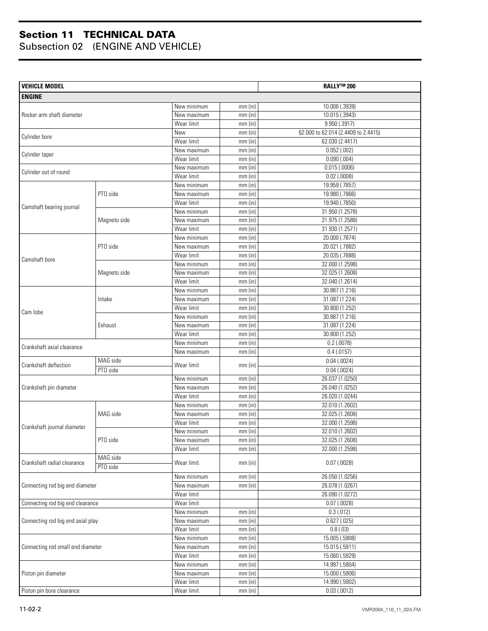| <b>VEHICLE MODEL</b>              |              |                           |                        | <b>RALLY™ 200</b>                   |
|-----------------------------------|--------------|---------------------------|------------------------|-------------------------------------|
| <b>ENGINE</b>                     |              |                           |                        |                                     |
|                                   |              | New minimum               | $mm$ (in)              | 10.006 (.3939)                      |
| Rocker arm shaft diameter         |              | New maximum               | mm(in)                 | 10.015 (.3943)                      |
|                                   |              | Wear limit                | mm(in)                 | 9.950 (.3917)                       |
|                                   |              | New                       | mm(in)                 | 62.000 to 62.014 (2.4409 to 2.4415) |
| Cylinder bore                     |              | Wear limit                | $mm$ (in)              | 62.030 (2.4417)                     |
| Cylinder taper                    |              | New maximum               | $mm$ (in)              | $0.052$ (.002)                      |
|                                   |              | Wear limit                | $mm$ (in)              | 0.090(.004)                         |
| Cylinder out of round             |              | New maximum               | $mm$ (in)              | 0.015(.0006)                        |
|                                   |              | Wear limit                | $mm$ (in)              | $0.02$ (.0008)                      |
|                                   |              | New minimum               | $mm$ (in)              | 19.959 (.7857)                      |
|                                   | PTO side     | New maximum               | $mm$ (in)              | 19.980 (.7866)                      |
| Camshaft bearing journal          |              | Wear limit                | mm(in)                 | 19.940 (.7850)                      |
|                                   |              | New minimum               | $mm$ (in)              | 31.950 (1.2578)                     |
|                                   | Magneto side | New maximum               | $mm$ (in)              | 31.975 (1.2588)                     |
|                                   |              | Wear limit                | $mm$ (in)              | 31.930 (1.2571)                     |
|                                   |              | New minimum               | mm (in)                | 20.000 (.7874)                      |
|                                   | PTO side     | New maximum               | $mm$ (in)              | 20.021 (.7882)                      |
| Camshaft bore                     |              | Wear limit                | $mm$ (in)              | 20.035 (.7888)                      |
|                                   |              | New minimum               | $mm$ (in)<br>$mm$ (in) | 32.000 (1.2598)<br>32.025 (1.2608)  |
|                                   | Magneto side | New maximum<br>Wear limit |                        | 32.040 (1.2614)                     |
|                                   |              | New minimum               | $mm$ (in)<br>mm (in)   | 30.887 (1.216)                      |
|                                   | Intake       | New maximum               | $mm$ (in)              | 31.087 (1.224)                      |
|                                   |              | Wear limit                | $mm$ (in)              | 30.800 (1.252)                      |
| Cam lobe                          | Exhaust      | New minimum               | $mm$ (in)              | 30.887 (1.216)                      |
|                                   |              | New maximum               | $mm$ (in)              | 31.087 (1.224)                      |
|                                   |              | Wear limit                | $mm$ (in)              | 30.800 (1.252)                      |
|                                   |              | New minimum               | $mm$ (in)              | $0.2$ (.0078)                       |
| Crankshaft axial clearance        |              | New maximum               | $mm$ (in)              | 0.4(0157)                           |
|                                   | MAG side     |                           |                        | 0.04(0.0024)                        |
| Crankshaft deflection             | PTO side     | Wear limit                | $mm$ (in)              | $0.04$ (.0024)                      |
|                                   |              | New minimum               | $mm$ (in)              | 26.037 (1.0250)                     |
| Crankshaft pin diameter           |              | New maximum               | mm(in)                 | 26.040 (1.0252)                     |
|                                   |              | Wear limit                | $mm$ (in)              | 26.020 (1.0244)                     |
|                                   | MAG side     | New minimum               | $mm$ (in)              | 32.010 (1.2602)                     |
|                                   |              | New maximum               | mm(in)                 | 32.025 (1.2608)                     |
| Crankshaft journal diameter       |              | Wear limit                | $mm$ (in)              | 32.000 (1.2598)                     |
|                                   | PTO side     | New minimum               | $mm$ (in)              | 32.010 (1.2602)                     |
|                                   |              | New maximum               | mm(in)                 | 32.025 (1.2608)                     |
|                                   |              | Wear limit                | mm(in)                 | 32.000 (1.2598)                     |
| Crankshaft radial clearance       | MAG side     | Wear limit                | mm(in)                 | $0.07$ $(.0028)$                    |
|                                   | PTO side     |                           |                        |                                     |
|                                   |              | New minimum               | mm(in)                 | 26.050 (1.0256)                     |
| Connecting rod big end diameter   |              | New maximum               | $mm$ (in)              | 26.078 (1.0267)                     |
|                                   |              | Wear limit                |                        | 26.090 (1.0272)                     |
| Connecting rod big end clearance  |              | Wear limit                |                        | $\overline{0.07}$ (.0028)           |
|                                   |              | New minimum               | $mm$ (in)              | 0.3(0.012)                          |
| Connecting rod big end axial play |              | New maximum               | $mm$ (in)              | $0.627$ $(.025)$                    |
|                                   |              | Wear limit                | mm(in)                 | 0.8(0.03)                           |
|                                   |              | New minimum               | mm(in)                 | 15.005 (.5908)                      |
| Connecting rod small end diameter |              | New maximum               | mm(in)                 | 15.015 (.5911)                      |
|                                   |              | Wear limit                | mm(in)                 | 15.060 (.5929)                      |
|                                   |              | New minimum               | mm(in)                 | 14.997 (.5904)                      |
| Piston pin diameter               |              | New maximum               | mm(in)                 | 15.000 (.5906)                      |
|                                   |              | Wear limit                | mm(in)                 | 14.990 (.5902)                      |
| Piston pin bore clearance         |              | Wear limit                | mm(in)                 | 0.03(0.0012)                        |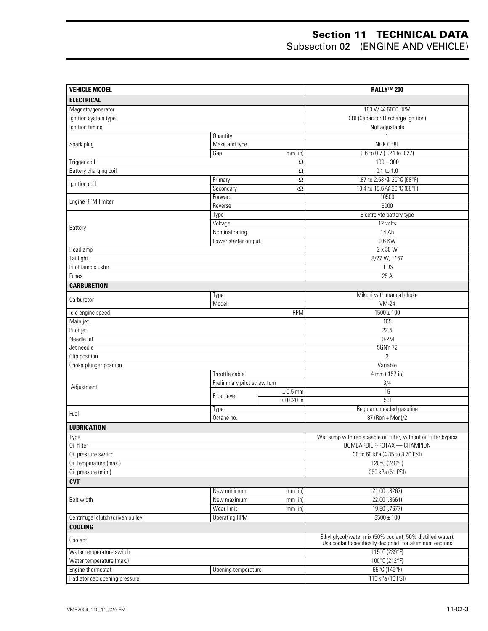#### **Section 11 TECHNICAL DATA** Subsection 02 (ENGINE AND VEHICLE)

| <b>VEHICLE MODEL</b>               |                              |                | <b>RALLY™ 200</b>                                                                                                    |  |
|------------------------------------|------------------------------|----------------|----------------------------------------------------------------------------------------------------------------------|--|
| <b>ELECTRICAL</b>                  |                              |                |                                                                                                                      |  |
| Magneto/generator                  |                              |                | 160 W @ 6000 RPM                                                                                                     |  |
| Ignition system type               |                              |                | CDI (Capacitor Discharge Ignition)                                                                                   |  |
| Ignition timing                    |                              |                | Not adjustable                                                                                                       |  |
|                                    | Quantity                     |                |                                                                                                                      |  |
| Spark plug                         | Make and type                |                | <b>NGK CR8E</b>                                                                                                      |  |
|                                    | Gap                          | $mm$ (in)      | 0.6 to 0.7 (.024 to .027)                                                                                            |  |
| Trigger coil                       |                              | Ω              | $190 - 300$                                                                                                          |  |
| Battery charging coil              |                              | Ω              | $0.1$ to $1.0$                                                                                                       |  |
| Ignition coil                      | Primary                      | $\Omega$       | 1.87 to 2.53 @ 20°C (68°F)                                                                                           |  |
|                                    | Secondary                    | $k\Omega$      | 10.4 to 15.6 @ 20°C (68°F)                                                                                           |  |
| Engine RPM limiter                 | Forward                      |                | 10500                                                                                                                |  |
|                                    | Reverse                      |                | 6000                                                                                                                 |  |
|                                    | Type                         |                | Electrolyte battery type                                                                                             |  |
| Battery                            | Voltage                      |                | 12 volts                                                                                                             |  |
|                                    | Nominal rating               |                | 14 Ah                                                                                                                |  |
|                                    | Power starter output         |                | 0.6 KW                                                                                                               |  |
| Headlamp                           |                              |                | 2 x 30 W                                                                                                             |  |
| Taillight                          |                              |                | 8/27 W, 1157                                                                                                         |  |
| Pilot lamp cluster                 |                              |                | LEDS                                                                                                                 |  |
| Fuses                              |                              |                | 25 A                                                                                                                 |  |
| <b>CARBURETION</b>                 |                              |                |                                                                                                                      |  |
| Carburetor                         | Type                         |                | Mikuni with manual choke                                                                                             |  |
|                                    | Model                        |                | $VM-24$                                                                                                              |  |
| Idle engine speed                  |                              | <b>RPM</b>     | $1500 \pm 100$                                                                                                       |  |
| Main jet                           |                              |                | 105                                                                                                                  |  |
| Pilot jet                          |                              |                | 22.5                                                                                                                 |  |
| Needle jet                         |                              |                | $0-2M$                                                                                                               |  |
| Jet needle                         |                              |                | 5GNY 72                                                                                                              |  |
| Clip position                      |                              |                | 3                                                                                                                    |  |
| Choke plunger position             |                              |                | Variable                                                                                                             |  |
|                                    | Throttle cable               |                | 4 mm (.157 in)                                                                                                       |  |
| Adjustment                         | Preliminary pilot screw turn |                | $\overline{3/4}$                                                                                                     |  |
|                                    | Float level                  | $± 0.5$ mm     | 15                                                                                                                   |  |
|                                    |                              | $\pm$ 0.020 in | .591                                                                                                                 |  |
| Fuel                               | Type                         |                | Regular unleaded gasoline                                                                                            |  |
|                                    | Octane no.                   |                | 87 (Ron + Mon)/2                                                                                                     |  |
| <b>LUBRICATION</b>                 |                              |                |                                                                                                                      |  |
| Type                               |                              |                | Wet sump with replaceable oil filter, without oil filter bypass                                                      |  |
| Oil filter                         |                              |                | BOMBARDIER-ROTAX - CHAMPION                                                                                          |  |
| Oil pressure switch                |                              |                | 30 to 60 kPa (4.35 to 8.70 PSI)                                                                                      |  |
| Oil temperature (max.)             |                              |                | 120°C (248°F)                                                                                                        |  |
| Oil pressure (min.)                |                              |                | 350 kPa (51 PSI)                                                                                                     |  |
| <b>CVT</b>                         |                              |                |                                                                                                                      |  |
|                                    | New minimum                  | $mm$ (in)      | 21.00 (.8267)                                                                                                        |  |
| Belt width                         | New maximum                  | mm (in)        | 22.00 (.8661)                                                                                                        |  |
|                                    | Wear limit                   | $mm$ (in)      | 19.50 (.7677)                                                                                                        |  |
| Centrifugal clutch (driven pulley) | <b>Operating RPM</b>         |                | $3500 \pm 100$                                                                                                       |  |
| <b>COOLING</b>                     |                              |                |                                                                                                                      |  |
| Coolant                            |                              |                | Ethyl glycol/water mix (50% coolant, 50% distilled water).<br>Use coolant specifically designed for aluminum engines |  |
| Water temperature switch           |                              |                | 115°C (239°F)                                                                                                        |  |
| Water temperature (max.)           |                              |                | 100°C (212°F)                                                                                                        |  |
| Engine thermostat                  | Opening temperature          |                | 65°C (149°F)                                                                                                         |  |
| Radiator cap opening pressure      |                              |                | 110 kPa (16 PSI)                                                                                                     |  |
|                                    |                              |                |                                                                                                                      |  |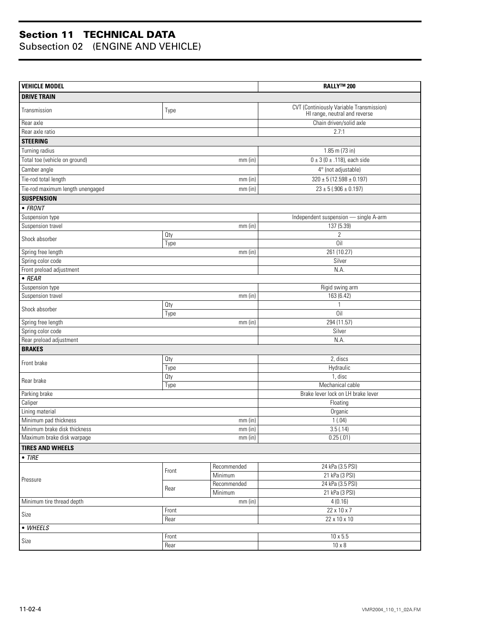| <b>VEHICLE MODEL</b>                                  |            |                        | <b>RALLY™ 200</b>                                                         |  |
|-------------------------------------------------------|------------|------------------------|---------------------------------------------------------------------------|--|
| <b>DRIVE TRAIN</b>                                    |            |                        |                                                                           |  |
| Transmission                                          | Type       |                        | CVT (Continiously Variable Transmission)<br>HI range, neutral and reverse |  |
| Rear axle                                             |            |                        | Chain driven/solid axle                                                   |  |
| Rear axle ratio                                       |            |                        | 2.7:1                                                                     |  |
| <b>STEERING</b>                                       |            |                        |                                                                           |  |
| Turning radius                                        |            |                        | $1.85$ m (73 in)                                                          |  |
| Total toe (vehicle on ground)                         |            | $mm$ (in)              | $0 \pm 3$ (0 $\pm$ .118), each side                                       |  |
| Camber angle                                          |            |                        | 4° (not adjustable)                                                       |  |
| Tie-rod total length                                  |            | $mm$ (in)              | $320 \pm 5 (12.598 \pm 0.197)$                                            |  |
| Tie-rod maximum length unengaged                      |            | $mm$ (in)              | $23 \pm 5 (0.906 \pm 0.197)$                                              |  |
| <b>SUSPENSION</b>                                     |            |                        |                                                                           |  |
| $\bullet$ FRONT                                       |            |                        |                                                                           |  |
| Suspension type                                       |            |                        | Independent suspension - single A-arm                                     |  |
| Suspension travel                                     |            | $mm$ (in)              | 137 (5.39)                                                                |  |
|                                                       | <b>Qty</b> |                        | $\overline{2}$                                                            |  |
| Shock absorber                                        | Type       |                        | Oil                                                                       |  |
| Spring free length                                    |            | $mm$ (in)              | 261 (10.27)                                                               |  |
| Spring color code                                     |            |                        | Silver                                                                    |  |
| Front preload adjustment                              |            |                        | N.A.                                                                      |  |
| $\bullet$ REAR                                        |            |                        |                                                                           |  |
| Suspension type                                       |            |                        | Rigid swing arm                                                           |  |
| Suspension travel                                     |            | $mm$ (in)              | 163 (6.42)                                                                |  |
| Shock absorber                                        | Oty        |                        |                                                                           |  |
|                                                       | Type       |                        | $0$ il                                                                    |  |
| Spring free length<br>$mm$ (in)                       |            |                        | 294 (11.57)                                                               |  |
| Spring color code                                     |            |                        | Silver                                                                    |  |
| Rear preload adjustment                               |            |                        | N.A.                                                                      |  |
| <b>BRAKES</b>                                         |            |                        |                                                                           |  |
| Front brake                                           | Oty        |                        | 2, discs                                                                  |  |
|                                                       | Type       |                        | Hydraulic                                                                 |  |
| Rear brake                                            | Oty        |                        | 1, disc                                                                   |  |
|                                                       | Type       |                        | Mechanical cable                                                          |  |
| Parking brake                                         |            |                        | Brake lever lock on LH brake lever                                        |  |
| Caliper                                               |            |                        | Floating                                                                  |  |
| Lining material                                       |            |                        | Organic                                                                   |  |
| Minimum pad thickness<br>Minimum brake disk thickness |            | $mm$ (in)              | 1(0.04)                                                                   |  |
|                                                       |            | $mm$ (in)              | 3.5(.14)                                                                  |  |
| Maximum brake disk warpage                            |            | $mm$ (in)              | 0.25(0.01)                                                                |  |
| <b>TIRES AND WHEELS</b>                               |            |                        |                                                                           |  |
| $\bullet$ TIRE                                        |            |                        |                                                                           |  |
|                                                       | Front      | Recommended            | 24 kPa (3.5 PSI)                                                          |  |
| Pressure                                              |            | Minimum<br>Recommended | 21 kPa (3 PSI)<br>24 kPa (3.5 PSI)                                        |  |
|                                                       | Rear       | Minimum                | 21 kPa (3 PSI)                                                            |  |
| $mm$ (in)<br>Minimum tire thread depth                |            |                        | 4(0.16)                                                                   |  |
| Front                                                 |            |                        | 22 x 10 x 7                                                               |  |
| Size                                                  | Rear       |                        | 22 x 10 x 10                                                              |  |
| • WHEELS                                              |            |                        |                                                                           |  |
|                                                       | Front      |                        | $10 \times 5.5$                                                           |  |
| Size                                                  | Rear       |                        | $10 \times 8$                                                             |  |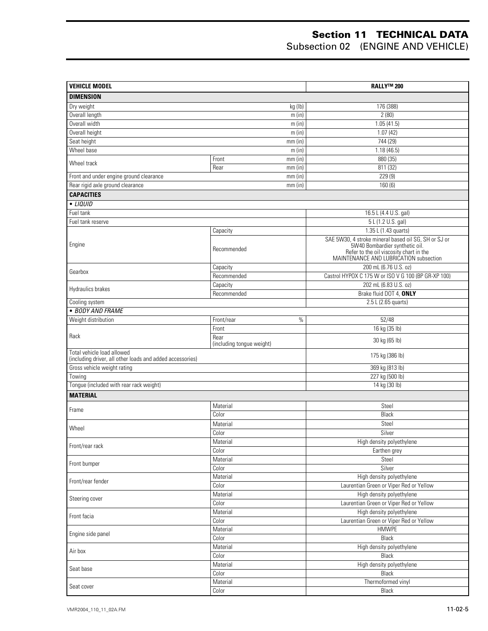#### **Section 11 TECHNICAL DATA** Subsection 02 (ENGINE AND VEHICLE)

| <b>VEHICLE MODEL</b>                                                                    |                                   | <b>RALLY™ 200</b>                                                                                                   |  |
|-----------------------------------------------------------------------------------------|-----------------------------------|---------------------------------------------------------------------------------------------------------------------|--|
| <b>DIMENSION</b>                                                                        |                                   |                                                                                                                     |  |
| Dry weight                                                                              | 176 (388)                         |                                                                                                                     |  |
| Overall length                                                                          | 2(80)                             |                                                                                                                     |  |
| Overall width                                                                           | 1.05(41.5)                        |                                                                                                                     |  |
| Overall height                                                                          | m (in)<br>m (in)                  | 1.07(42)                                                                                                            |  |
| Seat height                                                                             | $mm$ (in)                         | 744(29)                                                                                                             |  |
| Wheel base                                                                              | m (in)                            | 1.18(46.5)                                                                                                          |  |
|                                                                                         | Front<br>$mm$ (in)                | 880 (35)                                                                                                            |  |
| Wheel track                                                                             | Rear<br>$mm$ (in)                 | 811 (32)                                                                                                            |  |
| Front and under engine ground clearance                                                 | $mm$ (in)                         | 229(9)                                                                                                              |  |
| Rear rigid axle ground clearance                                                        | $mm$ (in)                         | 160(6)                                                                                                              |  |
| <b>CAPACITIES</b>                                                                       |                                   |                                                                                                                     |  |
| $\bullet$ <i>LIQUID</i>                                                                 |                                   |                                                                                                                     |  |
| Fuel tank                                                                               |                                   | 16.5 L (4.4 U.S. gal)                                                                                               |  |
| Fuel tank reserve                                                                       |                                   | 5 L (1.2 U.S. gal)                                                                                                  |  |
|                                                                                         | Capacity                          | 1.35 L (1.43 quarts)                                                                                                |  |
|                                                                                         |                                   | SAE 5W30, 4 stroke mineral based oil SG, SH or SJ or                                                                |  |
| Engine                                                                                  | Recommended                       | 5W40 Bombardier synthetic oil.<br>Refer to the oil viscosity chart in the<br>MAINTENANCE AND LUBRICATION subsection |  |
| Gearbox                                                                                 | Capacity                          | 200 mL (6.76 U.S. oz)                                                                                               |  |
|                                                                                         | Recommended                       | Castrol HYPOX C 175 W or ISO V G 100 (BP GR-XP 100)                                                                 |  |
| Hydraulics brakes                                                                       | Capacity                          | 202 mL (6.83 U.S. oz)                                                                                               |  |
|                                                                                         | Recommended                       | Brake fluid DOT 4, ONLY                                                                                             |  |
| Cooling system                                                                          |                                   | 2.5 L (2.65 quarts)                                                                                                 |  |
| · BODY AND FRAME                                                                        |                                   |                                                                                                                     |  |
| Weight distribution                                                                     | $\%$<br>Front/rear                | 52/48                                                                                                               |  |
|                                                                                         | Front                             | 16 kg (35 lb)                                                                                                       |  |
| Rack                                                                                    | Rear<br>(including tongue weight) | 30 kg (65 lb)                                                                                                       |  |
| Total vehicle load allowed<br>(including driver, all other loads and added accessories) |                                   | 175 kg (386 lb)                                                                                                     |  |
| Gross vehicle weight rating                                                             |                                   | 369 kg (813 lb)                                                                                                     |  |
| Towing                                                                                  |                                   | 227 kg (500 lb)                                                                                                     |  |
| Tongue (included with rear rack weight)                                                 |                                   | 14 kg (30 lb)                                                                                                       |  |
| <b>MATERIAL</b>                                                                         |                                   |                                                                                                                     |  |
|                                                                                         | Material                          | Steel                                                                                                               |  |
| Frame                                                                                   | Color                             | Black                                                                                                               |  |
|                                                                                         | Material                          | Steel                                                                                                               |  |
| Wheel                                                                                   | Color                             | Silver                                                                                                              |  |
|                                                                                         | Material                          | High density polyethylene                                                                                           |  |
| Front/rear rack                                                                         | Color                             | Earthen grey                                                                                                        |  |
| Front bumper                                                                            | Material                          | Steel                                                                                                               |  |
|                                                                                         | Color                             | Silver                                                                                                              |  |
|                                                                                         | Material                          | High density polyethylene                                                                                           |  |
| Front/rear fender                                                                       | Color                             | Laurentian Green or Viper Red or Yellow                                                                             |  |
|                                                                                         | Material                          | High density polyethylene                                                                                           |  |
| Steering cover                                                                          | Color                             | Laurentian Green or Viper Red or Yellow                                                                             |  |
| Front facia                                                                             | Material                          | High density polyethylene                                                                                           |  |
|                                                                                         | Color                             | Laurentian Green or Viper Red or Yellow                                                                             |  |
|                                                                                         | Material                          | <b>HMWPE</b>                                                                                                        |  |
| Engine side panel<br>Color                                                              |                                   | Black                                                                                                               |  |
| Material<br>Air box                                                                     |                                   | High density polyethylene                                                                                           |  |
|                                                                                         | Color                             | Black                                                                                                               |  |
| Seat base                                                                               | Material                          | High density polyethylene                                                                                           |  |
|                                                                                         | Color                             | Black                                                                                                               |  |
| Seat cover                                                                              | Material                          | Thermoformed vinyl                                                                                                  |  |
|                                                                                         | $\overline{\text{Color}}$         | Black                                                                                                               |  |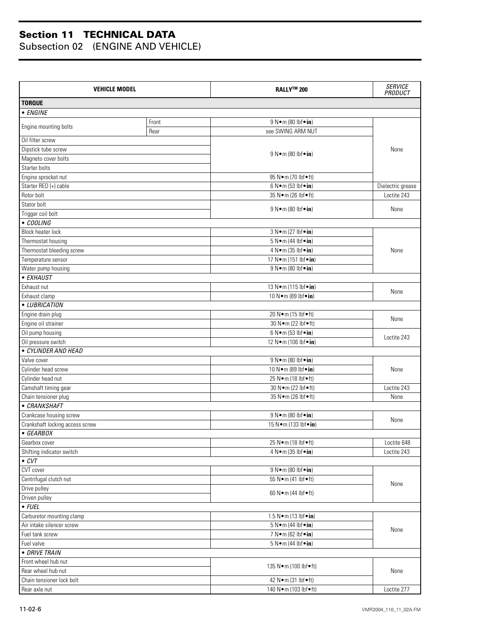| <b>VEHICLE MODEL</b>                         |                  | <b>RALLY™ 200</b>                                         | <b>SERVICE</b><br>PRODUCT |  |  |
|----------------------------------------------|------------------|-----------------------------------------------------------|---------------------------|--|--|
| <b>TORQUE</b>                                |                  |                                                           |                           |  |  |
| • ENGINE                                     |                  |                                                           |                           |  |  |
|                                              | Front            | 9 N · m (80 lbf · in)                                     |                           |  |  |
| Engine mounting bolts                        | Rear             | see SWING ARM NUT                                         |                           |  |  |
| Oil filter screw                             |                  |                                                           |                           |  |  |
| Dipstick tube screw                          |                  | $9 N \cdot m (80 lbf \cdot in)$                           | None                      |  |  |
| Magneto cover bolts                          |                  |                                                           |                           |  |  |
| Starter bolts                                |                  |                                                           |                           |  |  |
| Engine sprocket nut                          |                  | 95 N•m (70 lbf•ft)                                        |                           |  |  |
| Starter RED (+) cable                        |                  | 6 N • m (53 lbf • in)                                     | Dielectric grease         |  |  |
| Rotor bolt                                   |                  | 35 N•m (26 lbf•ft)                                        | Loctite 243               |  |  |
| Stator bolt                                  |                  | $9 N \cdot m (80 lbf \cdot in)$                           | None                      |  |  |
| Trigger coil bolt                            |                  |                                                           |                           |  |  |
| • COOLING                                    |                  |                                                           |                           |  |  |
| <b>Block heater lock</b>                     |                  | 3 N•m (27 lbf•in)                                         |                           |  |  |
| Thermostat housing                           |                  | $5 N \cdot m$ (44 lbf $\cdot$ in)                         |                           |  |  |
| Thermostat bleeding screw                    |                  | 4 N • m (35 lbf • in)                                     | None                      |  |  |
| Temperature sensor                           |                  | 17 N · m (151 lbf · in)                                   |                           |  |  |
| Water pump housing                           |                  | 9 N•m (80 lbf•in)                                         |                           |  |  |
| • EXHAUST                                    |                  |                                                           |                           |  |  |
| Exhaust nut                                  |                  | 13 N • m (115 lbf • in)                                   | None                      |  |  |
| Exhaust clamp                                |                  | 10 N•m (89 lbf•in)                                        |                           |  |  |
| • LUBRICATION                                |                  |                                                           |                           |  |  |
| Engine drain plug                            |                  | 20 N•m (15 lbf•ft)                                        | None                      |  |  |
| Engine oil strainer                          |                  | 30 N · m (22 lbf • ft)<br>$6 N \cdot m (53 lbf \cdot in)$ |                           |  |  |
|                                              | Oil pump housing |                                                           | Loctite 243               |  |  |
| Oil pressure switch                          |                  | 12 N · m (106 lbf · in)                                   |                           |  |  |
| • CYLINDER AND HEAD                          |                  |                                                           |                           |  |  |
| Valve cover                                  |                  | 9 N•m (80 lbf•in)                                         |                           |  |  |
| Cylinder head screw                          |                  | 10 N · m (89 lbf · in)                                    | None                      |  |  |
| Cylinder head nut                            |                  | 25 N•m (18 lbf•ft)                                        |                           |  |  |
| Camshaft timing gear                         |                  | 30 N•m (22 lbf•ft)                                        | Loctite 243               |  |  |
| Chain tensioner plug<br>• CRANKSHAFT         |                  | 35 N • m (26 lbf • ft)                                    | None                      |  |  |
|                                              |                  | $9 N \cdot m (80 h f \cdot in)$                           |                           |  |  |
| Crankcase housing screw                      |                  |                                                           | None                      |  |  |
| Crankshaft locking access screw<br>• GEARBOX |                  | 15 N · m (133 lbf · in)                                   |                           |  |  |
| Gearbox cover                                |                  | 25 N•m (18 lbf•ft)                                        | Loctite 648               |  |  |
| Shifting indicator switch                    |                  | 4 N•m (35 lbf•in)                                         | Loctite 243               |  |  |
| $\overline{\cdot}$ CVT                       |                  |                                                           |                           |  |  |
| CVT cover                                    |                  | 9 N • m (80 lbf • in)                                     |                           |  |  |
| Centrifugal clutch nut                       |                  | 55 N • m (41 lbf • ft)                                    |                           |  |  |
| Drive pulley                                 |                  |                                                           | None                      |  |  |
| Driven pulley                                |                  | 60 N • m (44 lbf • ft)                                    |                           |  |  |
| $\bullet$ FUEL                               |                  |                                                           |                           |  |  |
| Carburetor mounting clamp                    |                  | 1.5 N•m (13 lbf•in)                                       |                           |  |  |
| Air intake silencer screw                    |                  | 5 N • m (44 lbf • in)                                     | None                      |  |  |
| Fuel tank screw                              |                  | 7 N • m (62 lbf • in)                                     |                           |  |  |
| Fuel valve                                   |                  | 5 N • m (44 lbf • in)                                     |                           |  |  |
| • DRIVE TRAIN                                |                  |                                                           |                           |  |  |
| Front wheel hub nut                          |                  |                                                           |                           |  |  |
| Rear wheel hub nut                           |                  | 135 N•m (100 lbf•ft)                                      | None                      |  |  |
| Chain tensioner lock bolt                    |                  | 42 N • m (31 lbf • ft)                                    |                           |  |  |
| Rear axle nut                                |                  | 140 N•m (103 lbf•ft)                                      | Loctite 277               |  |  |